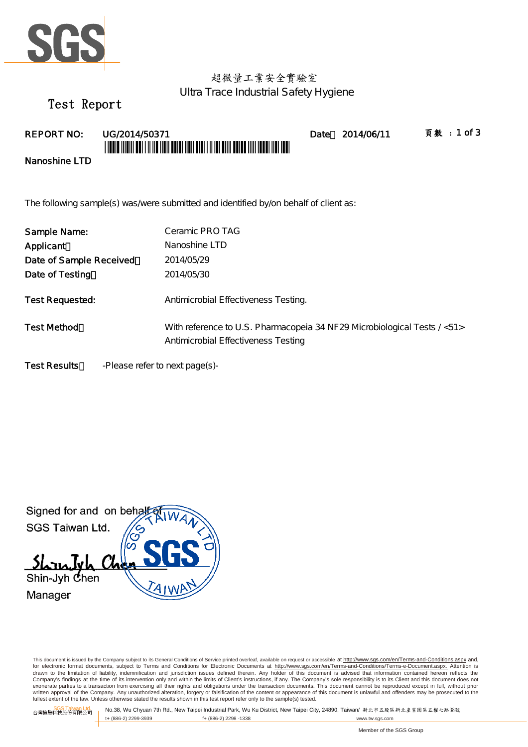

# 超微量工業安全實驗室 Ultra Trace Industrial Safety Hygiene

Test Report

REPORT NO: UG/2014/50371 Date 2014/06/11 頁數:1 of 3 \*UGUN 1110111 AUT 1 11 110 11011 AUNT 11011 AND 1 11 101 AINI AUND 1111 10001 111

Nanoshine LTD

The following sample(s) was/were submitted and identified by/on behalf of client as:

| Sample Name:            | Ceramic PRO TAG                                                                                                  |
|-------------------------|------------------------------------------------------------------------------------------------------------------|
| Applicant               | Nanoshine LTD                                                                                                    |
| Date of Sample Received | 2014/05/29                                                                                                       |
| Date of Testing         | 2014/05/30                                                                                                       |
| Test Requested:         | Antimicrobial Effectiveness Testing.                                                                             |
| <b>Test Method</b>      | With reference to U.S. Pharmacopeia 34 NF 29 Microbiological Tests / <51><br>Antimicrobial Effectiveness Testing |
| <b>Test Results</b>     | -Please refer to next page(s)-                                                                                   |

Signed for and on behal SGS Taiwan Ltd.  $5h$  $n$ Shin-Jyh Chen Manager

This document is issued by the Company subject to its General Conditions of Service printed overleaf, available on request or accessible at http://www.sgs.com/en/Terms-and-Conditions.aspx and, for electronic format documents, subject to Terms and Conditions for Electronic Documents at <u>http://www.sgs.com/en/Terms-and-Conditions/Terms-e-Document.aspx.</u> Attention is<br>drawn to the limitation of liability, indemnific Company's findings at the time of its intervention only and within the limits of Client's instructions, if any. The Company's sole responsibility is to its Client and this document does not<br>exonerate parties to a transacti written approval of the Company. Any unauthorized alteration, forgery or falsification of the content or appearance of this document is unlawful and offenders may be prosecuted to the fullest extent of the law. Unless otherwise stated the results shown in this test report refer only to the sample(s) tested.

SGS Taiwan Ltd. 台灣檢驗科技股份有限公司 No.38, Wu Chyuan 7th Rd., New Taipei Industrial Park, Wu Ku District, New Taipei City, 24890, Taiwan/ 新北市五股區新北產業園區五權七路38號 f+ (886-2) 2298 -1338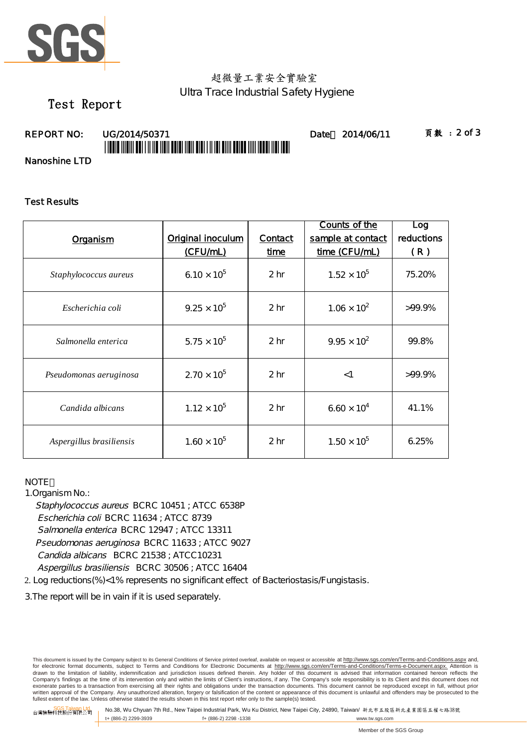

# 超微量工業安全實驗室 Ultra Trace Industrial Safety Hygiene

# Test Report

# \*UGCA AND AN TALLAH YAN DENGAN DAN BADA YANG DALAM DALAM YANG DALAM YANG DA

REPORT NO: UG/2014/50371 Date 2014/06/11 頁數:2 of 3

Nanoshine LTD

### Test Results

|                          |                      |                 | Counts of the        | Log        |
|--------------------------|----------------------|-----------------|----------------------|------------|
| Organism                 | Original inoculum    | Contact         | sample at contact    | reductions |
|                          | (CFU/mL)             | time            | time (CFU/mL)        | (R)        |
| Staphylococcus aureus    | $6.10 \times 10^{5}$ | 2 <sub>hr</sub> | $1.52 \times 10^{5}$ | 75.20%     |
| Escherichia coli         | $9.25 \times 10^{5}$ | 2 <sub>hr</sub> | $1.06 \times 10^{2}$ | $>99.9\%$  |
| Salmonella enterica      | $5.75 \times 10^{5}$ | 2 <sub>hr</sub> | $9.95 \times 10^{2}$ | 99.8%      |
| Pseudomonas aeruginosa   | $2.70 \times 10^{5}$ | 2 <sub>hr</sub> | $<$ 1                | $>99.9\%$  |
| Candida albicans         | $1.12 \times 10^{5}$ | 2 <sub>hr</sub> | $6.60 \times 10^{4}$ | 41.1%      |
| Aspergillus brasiliensis | $1.60 \times 10^{5}$ | 2 <sub>hr</sub> | $1.50 \times 10^{5}$ | 6.25%      |

### **NOTE**

1.Organism No.:

Staphylococcus aureus BCRC 10451 ; ATCC 6538P Escherichia coli BCRC 11634 ; ATCC 8739 Pseudomonas aeruginosa BCRC 11633 ; ATCC 9027 Candida albicans BCRC 21538 ; ATCC10231 Aspergillus brasiliensis BCRC 30506 ; ATCC 16404 Salmonella enterica BCRC 12947 ; ATCC 13311

2. Log reductions(%)<1% represents no significant effect of Bacteriostasis/Fungistasis.

3.The report will be in vain if it is used separately.

This document is issued by the Company subject to its General Conditions of Service printed overleaf, available on request or accessible at http://www.sgs.com/en/Terms-and-Conditions.aspx and, for electronic format documents, subject to Terms and Conditions for Electronic Documents at <u>http://www.sgs.com/en/Terms-and-Conditions/Terms-e-Document.aspx.</u> Attention is<br>drawn to the limitation of liability, indemnific Company's findings at the time of its intervention only and within the limits of Client's instructions, if any. The Company's sole responsibility is to its Client and this document does not<br>exonerate parties to a transacti written approval of the Company. Any unauthorized alteration, forgery or falsification of the content or appearance of this document is unlawful and offenders may be prosecuted to the fullest extent of the law. Unless otherwise stated the results shown in this test report refer only to the sample(s) tested.